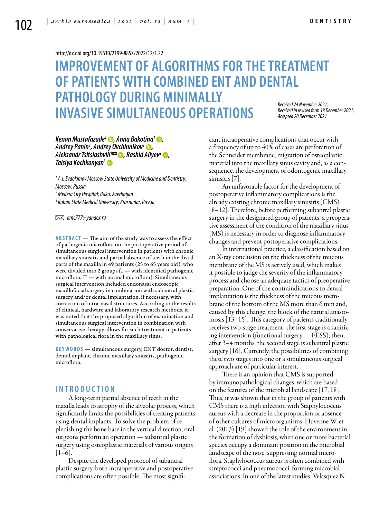#### <http://dx.doi.org/10.35630/2199-885X/2022/12/1.22>

# **IMPROVEMENT OF ALGORITHMS FOR THE TREATMENT OF PATIENTS WITH COMBINED ENT AND DENTAL PATHOLOGY DURING MINIMALLY INVASIVE SIMULTANEOUS OPERATIONS** *Received 24 November 2021; Received in revised form 18 December 2021; Accepted 20 December 2021*

## *[Kenan Mustafazade](https://orcid.org/0000-0003-0730-0711)1 , [Anna Bakotina1](https://orcid.org/0000-0003-2750-6899) , Andrey Panin1 , [Andrey Ovchinnikov1](https://orcid.org/0000-0002-7262-1151) , Aleksandr Tsitsiashvili<sup>1∞</sup> ●, [Rashid Aliyev](https://orcid.org/0000-0002-6474-3044)<sup>2</sup> ●, [Taisiya Kochkonyan3](https://orcid.org/0000-0003-1613-3425)*

  *A.I. Evdokimov Moscow State University of Medicine and Dentistry, Moscow, Russia Medera City Hospital; Baku, Azerbaijan Kuban State Medical University; Krasnodar, Russia*

 *amc777@yandex.ru* 

**ABSTRACT** — The aim of the study was to assess the effect of pathogenic microflora on the postoperative period of simultaneous surgical intervention in patients with chronic maxillary sinusitis and partial absence of teeth in the distal parts of the maxilla in 49 patients (25 to 65 years old), who were divided into 2 groups  $(I -$  with identified pathogenic microflora, II — with normal microflora). Simultaneous surgical intervention included endonasal endoscopic maxillofacial surgery in combination with subantral plastic surgery and/or dental implantation, if necessary, with correction of intra-nasal structures. According to the results of clinical, hardware and laboratory research methods, it was noted that the proposed algorithm of examination and simultaneous surgical intervention in combination with conservative therapy allows for such treatment in patients with pathological flora in the maxillary sinus.

KEYWORDS — simultaneous surgery, ENT doctor, dentist, dental implant, chronic maxillary sinusitis, pathogenic microflora.

# **I n t r o d u ct i o n**

A long-term partial absence of teeth in the maxilla leads to atrophy of the alveolar process, which significantly limits the possibilities of treating patients using dental implants. To solve the problem of replenishing the bone base in the vertical direction, oral surgeons perform an operation — subantral plastic surgery using osteoplastic materials of various origins  $[1-6]$ .

Despite the developed protocol of subantral plastic surgery, both intraoperative and postoperative complications are often possible. The most significant intraoperative complications that occur with a frequency of up to 40% of cases are perforation of the Schneider membrane, migration of osteoplastic material into the maxillary sinus cavity and, as a consequence, the development of odontogenic maxillary sinusitis [7].

An unfavorable factor for the development of postoperative inflammatory complications is the already existing chronic maxillary sinusitis (CMS) [8–12]. Therefore, before performing subantral plastic surgery in the designated group of patients, a preoperative assessment of the condition of the maxillary sinus (MS) is necessary in order to diagnose inflammatory changes and prevent postoperative complications.

In international practice, a classification based on an X-ray conclusion on the thickness of the mucous membrane of the MS is actively used, which makes it possible to judge the severity of the inflammatory process and choose an adequate tactics of preoperative preparation. One of the contraindications to dental implantation is the thickness of the mucous membrane of the bottom of the MS more than 6 mm and, caused by this change, the block of the natural anastomosis [13–15]. This category of patients traditionally receives two-stage treatment: the first stage is a sanitizing intervention (functional surgery — FESS); then, after 3–4 months, the second stage is subantral plastic surgery [16]. Currently, the possibilities of combining these two stages into one or a simultaneous surgical approach are of particular interest.

There is an opinion that CMS is supported by immunopathological changes, which are based on the features of the microbial landscape [17, 18]. Thus, it was shown that in the group of patients with CMS there is a high infection with Staphylococcus aureus with a decrease in the proportion or absence of other cultures of microorganisms. Huvenne W. et al. (2013) [19] showed the role of the environment in the formation of dysbiosis, when one or more bacterial species occupy a dominant position in the microbial landscape of the nose, suppressing normal microflora. Staphylococcus aureus is often combined with streptococci and pneumococci, forming microbial associations. In one of the latest studies, Velasquez N.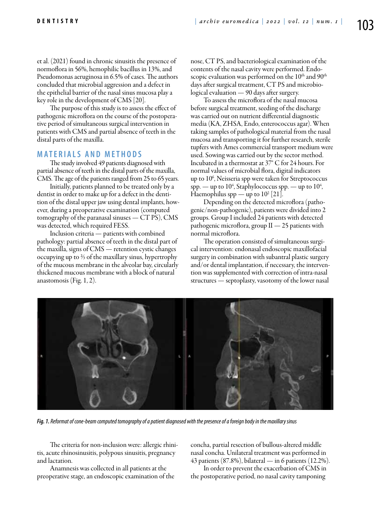et al. (2021) found in chronic sinusitis the presence of normoflora in 56%, hemophilic bacillus in 13%, and Pseudomonas aeruginosa in 6.5% of cases. The authors concluded that microbial aggression and a defect in the epithelial barrier of the nasal sinus mucosa play a key role in the development of CMS [20].

The purpose of this study is to assess the effect of pathogenic microflora on the course of the postoperative period of simultaneous surgical intervention in patients with CMS and partial absence of teeth in the distal parts of the maxilla.

# **MATERIALS AND METHODS**

The study involved 49 patients diagnosed with partial absence of teeth in the distal parts of the maxilla, CMS. The age of the patients ranged from 25 to 65 years.

Initially, patients planned to be treated only by a dentist in order to make up for a defect in the dentition of the distal upper jaw using dental implants, however, during a preoperative examination (computed tomography of the paranasal sinuses — CT PS), CMS was detected, which required FESS.

Inclusion criteria — patients with combined pathology: partial absence of teeth in the distal part of the maxilla, signs of CMS — retention cystic changes occupying up to ⅔ of the maxillary sinus, hypertrophy of the mucous membrane in the alveolar bay, circularly thickened mucous membrane with a block of natural anastomosis (Fig. 1, 2).

nose, CT PS, and bacteriological examination of the contents of the nasal cavity were performed. Endoscopic evaluation was performed on the 10<sup>th</sup> and 90<sup>th</sup> days after surgical treatment, CT PS and microbiological evaluation — 90 days after surgery.

To assess the microflora of the nasal mucosa before surgical treatment, seeding of the discharge was carried out on nutrient differential diagnostic media (KA, ZHSA, Endo, enterococcus agar). When taking samples of pathological material from the nasal mucosa and transporting it for further research, sterile tupfers with Ames commercial transport medium were used. Sowing was carried out by the sector method. Incubated in a thermostat at 37° C for 24 hours. For normal values of microbial flora, digital indicators up to 10<sup>6</sup>, Neisseria spp were taken for Streptococcus spp. — up to  $10^4$ , Staphylococcus spp. — up to  $10^4$ , Haemophilus spp — up to  $10^2$  [21].

Depending on the detected microflora (pathogenic/non-pathogenic), patients were divided into 2 groups. Group I included 24 patients with detected pathogenic microflora, group  $II - 25$  patients with normal microflora.

The operation consisted of simultaneous surgical intervention: endonasal endoscopic maxillofacial surgery in combination with subantral plastic surgery and/or dental implantation, if necessary, the intervention was supplemented with correction of intra-nasal structures — septoplasty, vasotomy of the lower nasal



*Fig. 1. Reformat of cone-beam computed tomography of a patient diagnosed with the presence of a foreign body in the maxillary sinus*

The criteria for non-inclusion were: allergic rhinitis, acute rhinosinusitis, polypous sinusitis, pregnancy and lactation.

Anamnesis was collected in all patients at the preoperative stage, an endoscopic examination of the concha, partial resection of bullous-altered middle nasal concha. Unilateral treatment was performed in 43 patients (87.8%), bilateral — in 6 patients (12.2%).

In order to prevent the exacerbation of CMS in the postoperative period, no nasal cavity tamponing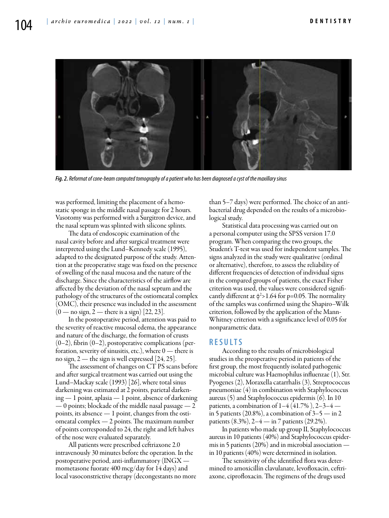

*Fig. 2. Reformat of cone-beam computed tomography of a patient who has been diagnosed a cyst of the maxillary sinus*

was performed, limiting the placement of a hemostatic sponge in the middle nasal passage for 2 hours. Vasotomy was performed with a Surgitron device, and the nasal septum was splinted with silicone splints.

The data of endoscopic examination of the nasal cavity before and after surgical treatment were interpreted using the Lund–Kennedy scale (1995), adapted to the designated purpose of the study. Attention at the preoperative stage was fixed on the presence of swelling of the nasal mucosa and the nature of the discharge. Since the characteristics of the airflow are affected by the deviation of the nasal septum and the pathology of the structures of the ostiomeatal complex (OMC), their presence was included in the assessment  $(0 -$  no sign,  $2 -$  there is a sign) [22, 23].

In the postoperative period, attention was paid to the severity of reactive mucosal edema, the appearance and nature of the discharge, the formation of crusts  $(0-2)$ , fibrin  $(0-2)$ , postoperative complications (perforation, severity of sinusitis, etc.), where  $0$  — there is no sign, 2 — the sign is well expressed [24, 25].

The assessment of changes on CT PS scans before and after surgical treatment was carried out using the Lund–Mackay scale (1993) [26], where total sinus darkening was estimated at 2 points, parietal darkening — 1 point, aplasia — 1 point, absence of darkening  $-0$  points; blockade of the middle nasal passage  $-2$ points, its absence — 1 point, changes from the ostiomeatal complex — 2 points. The maximum number of points corresponded to 24, the right and left halves of the nose were evaluated separately.

All patients were prescribed ceftriaxone 2.0 intravenously 30 minutes before the operation. In the postoperative period, anti-inflammatory (INGX  $$ mometasone fuorate 400 mcg/day for 14 days) and local vasoconstrictive therapy (decongestants no more than 5–7 days) were performed. The choice of an antibacterial drug depended on the results of a microbiological study.

Statistical data processing was carried out on a personal computer using the SPSS version 17.0 program. When comparing the two groups, the Student's T-test was used for independent samples. The signs analyzed in the study were qualitative (ordinal or alternative), therefore, to assess the reliability of different frequencies of detection of individual signs in the compared groups of patients, the exact Fisher criterion was used, the values were considered significantly different at  $\phi^2$ >1.64 for p=0.05. The normality of the samples was confirmed using the Shapiro–Wilk criterion, followed by the application of the Mann-Whitney criterion with a significance level of 0.05 for nonparametric data.

## **RESULTS**

According to the results of microbiological studies in the preoperative period in patients of the first group, the most frequently isolated pathogenic microbial culture was Haemophilus influenzae (1), Str. Pyogenes (2), Moraxella catarrhalis (3), Streptococcus pneumoniae (4) in combination with Staphylococcus aureus (5) and Staphylococcus epidermis (6). In 10 patients, a combination of  $1-4$  (41.7%),  $2-3-4$  in 5 patients (20.8%), a combination of  $3-5$  — in 2 patients  $(8.3\%)$ , 2–4 — in 7 patients  $(29.2\%)$ .

In patients who made up group II, Staphylococcus aureus in 10 patients (40%) and Staphylococcus epidermis in 5 patients (20%) and in microbial association in 10 patients (40%) were determined in isolation.

The sensitivity of the identified flora was determined to amoxicillin clavulanate, levofloxacin, ceftriaxone, ciprofloxacin. The regimens of the drugs used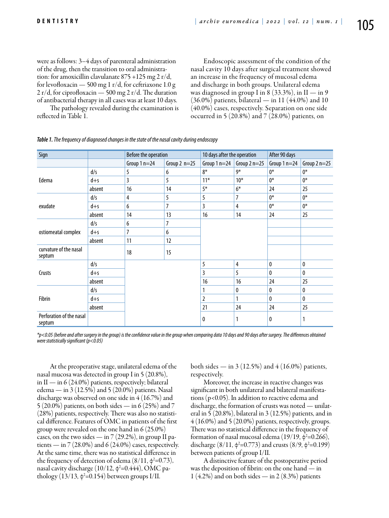were as follows: 3–4 days of parenteral administration of the drug, then the transition to oral administration: for amoxicillin clavulanate 875 +125 mg 2 r/d, for levofloxacin — 500 mg 1 r/d, for ceftriaxone 1.0 g 2 r/d, for ciprofloxacin  $-$  500 mg 2 r/d. The duration of antibacterial therapy in all cases was at least 10 days.

Endoscopic assessment of the condition of the nasal cavity 10 days after surgical treatment showed an increase in the frequency of mucosal edema and discharge in both groups. Unilateral edema was diagnosed in group I in 8 (33.3%), in II — in 9  $(36.0%)$  patients, bilateral — in 11  $(44.0%)$  and 10 (40.0%) cases, respectively. Separation on one side occurred in 5 (20.8%) and 7 (28.0%) patients, on

The pathology revealed during the examination is reflected in Table 1.

| Sign                               |         | Before the operation |                | 10 days after the operation |                                                                                                                  | After 90 days |               |
|------------------------------------|---------|----------------------|----------------|-----------------------------|------------------------------------------------------------------------------------------------------------------|---------------|---------------|
|                                    |         | Group $1n=24$        | Group $2 n=25$ | Group $1n=24$               | Group $2n=25$                                                                                                    | Group $1n=24$ | Group $2n=25$ |
| Edema                              | d/s     | 5                    | 6              | $8*$                        | 9*                                                                                                               | $0*$          | $0*$          |
|                                    | $d + s$ | 3                    | 5              | $11*$                       | $10*$                                                                                                            | $0*$          | $0*$          |
|                                    | absent  | 16                   | 14             | $5*$                        | $6*$<br>24<br>$0*$<br>7<br>$0*$<br>4<br>24<br>14<br>4<br>0<br>5<br>0<br>24<br>16<br>0<br>0<br>0<br>1<br>24<br>24 |               | 25            |
| exudate                            | d/s     | 4                    | 5              | 5                           |                                                                                                                  |               | $0*$          |
|                                    | $d + s$ | 6                    | 7              | 3                           |                                                                                                                  |               | $0*$          |
|                                    | absent  | 14                   | 13             | 16                          |                                                                                                                  |               | 25            |
|                                    | d/s     | 6                    | 7              |                             |                                                                                                                  |               |               |
| ostiomeatal complex                | $d + s$ | 7                    | 6              |                             |                                                                                                                  |               |               |
|                                    | absent  | 11                   | 12             |                             |                                                                                                                  |               |               |
| curvature of the nasal<br>septum   |         | 18                   | 15             |                             |                                                                                                                  |               |               |
| Crusts                             | d/s     |                      |                | 5                           |                                                                                                                  |               | $\mathbf{0}$  |
|                                    | $d + s$ |                      |                | 3                           |                                                                                                                  |               | $\mathbf{0}$  |
|                                    | absent  |                      |                | 16                          |                                                                                                                  |               | 25            |
| Fibrin                             | d/s     |                      |                | 1                           |                                                                                                                  |               | 0             |
|                                    | $d + s$ |                      |                | $\overline{2}$              |                                                                                                                  |               | $\mathbf{0}$  |
|                                    | absent  |                      |                | 21                          |                                                                                                                  |               | 25            |
| Perforation of the nasal<br>septum |         |                      |                | 0                           | 1                                                                                                                | 0             | 1             |

|  |  |  | Table 1. The frequency of diagnosed changes in the state of the nasal cavity during endoscopy |
|--|--|--|-----------------------------------------------------------------------------------------------|
|  |  |  |                                                                                               |

*\*p<0.05 (before and after surgery in the group) is the confidence value in the group when comparing data 10 days and 90 days after surgery. The differences obtained were statistically significant (p<0.05)*

At the preoperative stage, unilateral edema of the nasal mucosa was detected in group I in 5 (20.8%), in II — in 6 (24.0%) patients, respectively; bilateral edema — in 3 (12.5%) and 5 (20.0%) patients. Nasal discharge was observed on one side in 4 (16.7%) and 5 (20.0%) patients, on both sides — in 6 (25%) and 7 (28%) patients, respectively. There was also no statistical difference. Features of OMC in patients of the first group were revealed on the one hand in 6 (25.0%) cases, on the two sides — in  $7$  (29.2%), in group II patients — in 7 (28.0%) and 6 (24.0%) cases, respectively. At the same time, there was no statistical difference in the frequency of detection of edema ( $8/11$ ,  $\phi^2$ =0.73), nasal cavity discharge (10/12, φ²=0.444), OMC pathology (13/13, φ²=0.154) between groups I/II.

both sides — in 3 (12.5%) and 4 (16.0%) patients, respectively.

Moreover, the increase in reactive changes was significant in both unilateral and bilateral manifestations (p<0.05). In addition to reactive edema and discharge, the formation of crusts was noted — unilateral in 5 (20.8%), bilateral in 3 (12.5%) patients, and in 4 (16.0%) and 5 (20.0%) patients, respectively, groups. There was no statistical difference in the frequency of formation of nasal mucosal edema (19/19,  $\phi^2$ =0.266), discharge  $(8/11, \phi^2=0.773)$  and crusts  $(8/9, \phi^2=0.199)$ between patients of group I/II.

A distinctive feature of the postoperative period was the deposition of fibrin: on the one hand — in 1  $(4.2\%)$  and on both sides — in 2  $(8.3\%)$  patients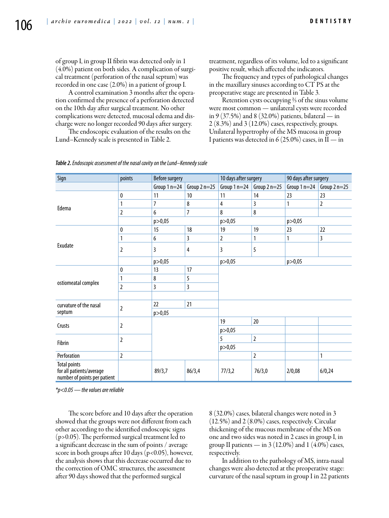of group I, in group II fibrin was detected only in 1 (4.0%) patient on both sides. A complication of surgical treatment (perforation of the nasal septum) was recorded in one case (2.0%) in a patient of group I.

A control examination 3 months after the operation confirmed the presence of a perforation detected on the 10th day after surgical treatment. No other complications were detected, mucosal edema and discharge were no longer recorded 90 days after surgery.

The endoscopic evaluation of the results on the Lund–Kennedy scale is presented in Table 2.

treatment, regardless of its volume, led to a significant positive result, which affected the indicators.

The frequency and types of pathological changes in the maxillary sinuses according to CT PS at the preoperative stage are presented in Table 3.

Retention cysts occupying ⅔ of the sinus volume were most common — unilateral cysts were recorded in 9 (37.5%) and 8 (32.0%) patients, bilateral — in 2 (8.3%) and 3 (12.0%) cases, respectively, groups. Unilateral hypertrophy of the MS mucosa in group I patients was detected in 6 (25.0%) cases, in  $II$  — in

| Sign                                                                                                                                                                                     | points         | <b>Before surgery</b> |                | 10 days after surgery                                               |                                                                             | 90 days after surgery |               |
|------------------------------------------------------------------------------------------------------------------------------------------------------------------------------------------|----------------|-----------------------|----------------|---------------------------------------------------------------------|-----------------------------------------------------------------------------|-----------------------|---------------|
|                                                                                                                                                                                          |                | Group $1n=24$         | Group $2n=25$  | Group $1n=24$                                                       | Group $2n=25$                                                               | Group $1n=24$         | Group $2n=25$ |
| Edema                                                                                                                                                                                    | 0              | 11                    | 10             | 11                                                                  | 14                                                                          | 23                    | 23            |
|                                                                                                                                                                                          | 1              | 7                     | 8              | 4                                                                   | 3                                                                           | 1                     | 2             |
|                                                                                                                                                                                          | $\overline{2}$ | 6                     | $\overline{7}$ | 8                                                                   | $\bf 8$                                                                     |                       |               |
|                                                                                                                                                                                          |                | p > 0,05              |                | p > 0,05                                                            | 19<br>23<br>1<br>1<br>5<br>20<br>$\overline{2}$<br>$\overline{2}$<br>76/3,0 |                       |               |
|                                                                                                                                                                                          | 0              | 15                    | 18             | 19                                                                  |                                                                             |                       | 22            |
|                                                                                                                                                                                          |                | 6                     | 3              | 2                                                                   |                                                                             |                       | 3             |
|                                                                                                                                                                                          | $\overline{2}$ | 3                     | 4              | 3                                                                   |                                                                             |                       |               |
|                                                                                                                                                                                          |                | p > 0,05              |                | p > 0,05<br>p > 0,05<br>p > 0,05<br>19<br>p > 0,05<br>5<br>p > 0,05 |                                                                             |                       |               |
|                                                                                                                                                                                          | 0              | 13                    | 17             |                                                                     |                                                                             |                       |               |
|                                                                                                                                                                                          |                | 8                     | 5              |                                                                     |                                                                             |                       |               |
|                                                                                                                                                                                          | $\overline{2}$ | 3                     | 3              |                                                                     |                                                                             |                       |               |
| Exudate<br>ostiomeatal complex<br>curvature of the nasal<br>septum<br>Crusts<br>Fibrin<br>Perforation<br><b>Total points</b><br>for all patients/average<br>number of points per patient |                |                       |                |                                                                     |                                                                             |                       |               |
|                                                                                                                                                                                          | $\overline{2}$ | 22                    | 21             |                                                                     |                                                                             |                       |               |
|                                                                                                                                                                                          |                | p > 0,05              |                |                                                                     |                                                                             |                       |               |
|                                                                                                                                                                                          | 2              |                       |                |                                                                     |                                                                             |                       |               |
|                                                                                                                                                                                          |                |                       |                |                                                                     |                                                                             |                       |               |
|                                                                                                                                                                                          | $\overline{2}$ |                       |                |                                                                     |                                                                             |                       |               |
|                                                                                                                                                                                          |                |                       |                |                                                                     |                                                                             |                       |               |
|                                                                                                                                                                                          | 2              |                       |                |                                                                     |                                                                             |                       |               |
|                                                                                                                                                                                          |                | 89/3,7                | 86/3,4         | 77/3,2                                                              |                                                                             | 2/0,08                | 6/0,24        |

#### *Table 2. Endoscopic assessment of the nasal cavity on the Lund–Kennedy scale*

*\*p<0.05 — the values are reliable*

The score before and 10 days after the operation showed that the groups were not different from each other according to the identified endoscopic signs (p>0.05). The performed surgical treatment led to a significant decrease in the sum of points / average score in both groups after 10 days (p<0.05), however, the analysis shows that this decrease occurred due to the correction of OMC structures, the assessment after 90 days showed that the performed surgical

8 (32.0%) cases, bilateral changes were noted in 3 (12.5%) and 2 (8.0%) cases, respectively. Circular thickening of the mucous membrane of the MS on one and two sides was noted in 2 cases in group I, in group II patients — in  $3(12.0\%)$  and  $1(4.0\%)$  cases, respectively.

In addition to the pathology of MS, intra-nasal changes were also detected at the preoperative stage: curvature of the nasal septum in group I in 22 patients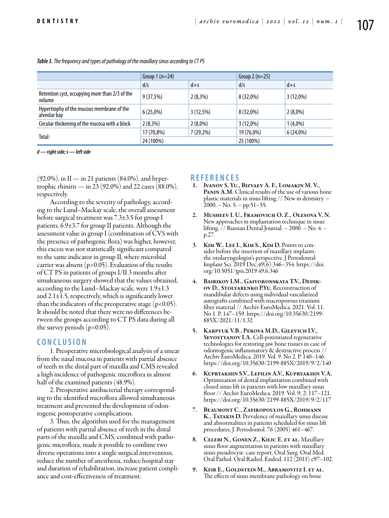|                                                           | Group $1(n=24)$ |             | Group $2(n=25)$ |             |
|-----------------------------------------------------------|-----------------|-------------|-----------------|-------------|
|                                                           | d/s             | $d + s$     | d/s             | $d + s$     |
| Retention cyst, occupying more than 2/3 of the<br>volume  | 9(37,5%)        | $2(8,3\%)$  | 8 (32,0%)       | $3(12,0\%)$ |
| Hypertrophy of the mucous membrane of the<br>alveolar bay | 6(25,0%)        | $3(12,5\%)$ | 8 (32,0%)       | $2(8,0\%)$  |
| Circular thickening of the mucosa with a block            | $2(8,3\%)$      | $2(8,0\%)$  | $3(12,0\%)$     | $1(4,0\%)$  |
|                                                           | 17 (70,8%)      | $7(29,2\%)$ | 19 (76,0%)      | $6(24,0\%)$ |
| Total:                                                    | 24 (100%)       |             | 25 (100%)       |             |

*Table 3. The frequency and types of pathology of the maxillary sinus according to CT PS*

*d — right side; s — left side*

 $(92.0\%)$ , in II — in 21 patients  $(84.0\%)$ , and hypertrophic rhinitis — in 23 (92.0%) and 22 cases (88.0%), respectively.

According to the severity of pathology, according to the Lund–Mackay scale, the overall assessment before surgical treatment was 7.3±3.5 for group I patients, 6.9±3.7 for group II patients. Although the assessment value in group I (combination of CVS with the presence of pathogenic flora) was higher, however, this excess was not statistically significant compared to the same indicator in group II, where microbial carrier was absent (p>0.05). Evaluation of the results of CT PS in patients of groups I/II 3 months after simultaneous surgery showed that the values obtained, according to the Lund–Mackay scale, were 1.9±1.3 and  $2.1\pm1.5$ , respectively, which is significantly lower than the indicators of the preoperative stage  $(p<0.05)$ . It should be noted that there were no differences between the groups according to CT PS data during all the survey periods (p>0.05).

# **C ON CLUSION**

1. Preoperative microbiological analysis of a smear from the nasal mucosa in patients with partial absence of teeth in the distal part of maxilla and CMS revealed a high incidence of pathogenic microflora in almost half of the examined patients (48.9%).

2. Preoperative antibacterial therapy corresponding to the identified microflora allowed simultaneous treatment and prevented the development of odontogenic postoperative complications.

3. Thus, the algorithm used for the management of patients with partial absence of teeth in the distal parts of the maxilla and CMS, combined with pathogenic microflora, made it possible to combine two diverse operations into a single surgical intervention, reduce the number of anesthesia, reduce hospital stay and duration of rehabilitation, increase patient compliance and cost-effectiveness of treatment.

### **REFEREN CES**

- 1. Ivanov S. Yu., Bizyaev A. F., Lomakin M. V., PANIN A.M. Clinical results of the use of various bone plastic materials in sinus lifting // New in dentistry. –  $2000 - No. 5 - pp.51 - 55.$
- 2. Musheev I. U., Framovich O. Z., Olesova V. N. New approaches in implantation technique in sinus lifting. // Russian Dental Journal. – 2000. – No. 4. – p.27.
- 3. Kim W.. Lee I., Kim S., Kim D. Points to consider before the insertion of maxillary implants: the otolaryngologist's perspective. J Periodontal Implant Sci. 2019 Dec;49(6):346–354. https://doi. org/10.5051/jpis.2019.49.6.346
- 4. BAIRIKOV I.M., GAIVORONSKAYA T.V., DEDIK-<br>ov D., Stolyarenko P.Yu. Reconstruction of mandibular defects using individual vascularized autografts combined with macroporous titanium fiber material // Archiv EuroMedica. 2021. Vol. 11. No 1. P. 147–159. https://doi.org/10.35630/2199- 885X/2021/11/1.32
- 5. Karpyuk V.B., Perova M.D., Gilevich I.V., SEVOSTYANOV I.A. Cell-potentiated regenerative technologies for restoring jaw bone tissues in case of odontogenic inflammatory & destructive process // Archiv EuroMedica. 2019. Vol. 9. No 2. P. 140–146. https://doi.org/10.35630/2199-885X/2019/9/2/140
- 6. Kupryakhin S.V., Lepilin A.V., Kupryakhin V.A. Optimization of dental implantation combined with closed sinus lift in patients with low maxillary sinus floor // Archiv EuroMedica. 2019. Vol. 9; 2: 117–121. https://doi.org/10.35630/2199-885X/2019/9/2/117
- 7. Beaumont C., Zafiropoulos G., Rohmann K., TATAKIS D. Prevalence of maxillary sinus disease and abnormalities in patients scheduled for sinus lift procedures, J. Periodontol. 76 (2005) 461–467.
- 8. CELEBI N., GONEN Z., KILIC E. ET AL. Maxillary sinus floor augmentation in patients with maxillary sinus pseudocyst: case report, Oral Surg. Oral Med. Oral Pathol. Oral Radiol. Endod. 112 (2011) e97–102.
- 9. Kfir E., Goldstein M., Abramovitz I. et al. The effects of sinus membrane pathology on bone